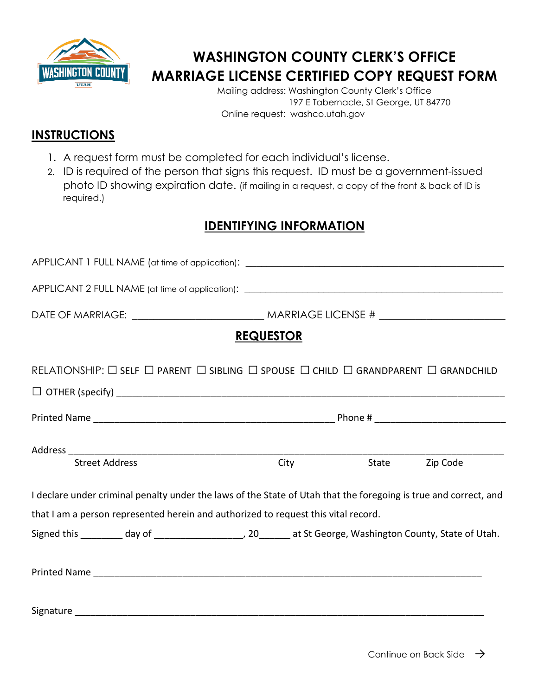

## **WASHINGTON COUNTY CLERK'S OFFICE MARRIAGE LICENSE CERTIFIED COPY REQUEST FORM**

Mailing address: Washington County Clerk's Office 197 E Tabernacle, St George, UT 84770 Online request: washco.utah.gov

## **INSTRUCTIONS**

- 1. A request form must be completed for each individual's license.
- 2. ID is required of the person that signs this request. ID must be a government-issued photo ID showing expiration date. (if mailing in a request, a copy of the front & back of ID is required.)

## **IDENTIFYING INFORMATION**

| APPLICANT 1 FULL NAME (at time of application): _________________________________                                                           |                  |      |       |          |  |
|---------------------------------------------------------------------------------------------------------------------------------------------|------------------|------|-------|----------|--|
|                                                                                                                                             |                  |      |       |          |  |
|                                                                                                                                             |                  |      |       |          |  |
|                                                                                                                                             | <b>REQUESTOR</b> |      |       |          |  |
| RELATIONSHIP: $\square$ self $\square$ parent $\square$ sibling $\square$ spouse $\square$ child $\square$ grandparent $\square$ grandchild |                  |      |       |          |  |
|                                                                                                                                             |                  |      |       |          |  |
|                                                                                                                                             |                  |      |       |          |  |
|                                                                                                                                             |                  |      |       |          |  |
| <b>Street Address</b>                                                                                                                       |                  | City | State | Zip Code |  |
| I declare under criminal penalty under the laws of the State of Utah that the foregoing is true and correct, and                            |                  |      |       |          |  |
| that I am a person represented herein and authorized to request this vital record.                                                          |                  |      |       |          |  |
| Signed this ________ day of ________________________, 20_______ at St George, Washington County, State of Utah.                             |                  |      |       |          |  |
|                                                                                                                                             |                  |      |       |          |  |
|                                                                                                                                             |                  |      |       |          |  |